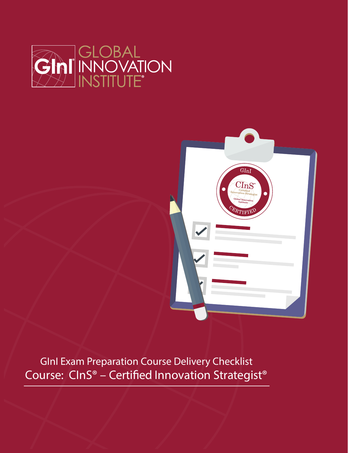



GInI Exam Preparation Course Delivery Checklist Course: CInS® - Certified Innovation Strategist®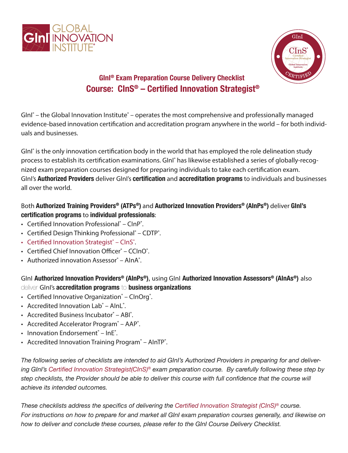



## **GInI® Exam Preparation Course Delivery Checklist Course: CInS® – Certified Innovation Strategist®**

GInI<sup>®</sup> – the Global Innovation Institute<sup>®</sup> – operates the most comprehensive and professionally managed evidence-based innovation certification and accreditation program anywhere in the world – for both individuals and businesses.

GInI<sup>®</sup> is the only innovation certification body in the world that has employed the role delineation study process to establish its certification examinations. GInI<sup>®</sup> has likewise established a series of globally-recognized exam preparation courses designed for preparing individuals to take each certification exam. GInI's **Authorized Providers** deliver GInI's **certification** and **accreditation programs** to individuals and businesses all over the world.

### Both **Authorized Training Providers® (ATPs®)** and **Authorized Innovation Providers® (AInPs®)** deliver **GInI's certification programs** to **individual professionals**:

- Certified Innovation Professional<sup>®</sup> ClnP<sup>®</sup>.
- Certified Design Thinking Professional<sup>®</sup> CDTP<sup>®</sup>.
- Certified Innovation Strategist® ClnS®.
- Certified Chief Innovation Officer® CCInO®.
- Authorized innovation Assessor® AlnA®.

GInI **Authorized Innovation Providers® (AInPs®)**, using GInI **Authorized Innovation Assessors® (AInAs®)** also deliver GInI's **accreditation programs** to **business organizations**:

- Certified Innovative Organization® CInOrg®.
- Accredited Innovation Lab® AInL®.
- Accredited Business Incubator® ABI®.
- Accredited Accelerator Program<sup>®</sup> AAP<sup>®</sup>.
- Innovation Endorsement® InE®.
- Accredited Innovation Training Program<sup>®</sup> AInTP<sup>®</sup>.

*The following series of checklists are intended to aid GInI's Authorized Providers in preparing for and delivering GInI's Certified Innovation Strategist(CInS)® exam preparation course. By carefully following these step by step checklists, the Provider should be able to deliver this course with full confidence that the course will achieve its intended outcomes.*

*These checklists address the specifics of delivering the Certified Innovation Strategist (CInS)® course. For instructions on how to prepare for and market all GInI exam preparation courses generally, and likewise on how to deliver and conclude these courses, please refer to the GInI Course Delivery Checklist.*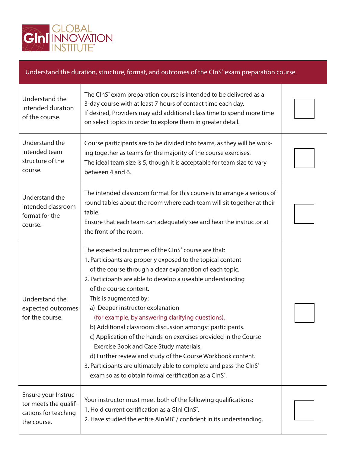

#### Understand the duration, structure, format, and outcomes of the CInS<sup>®</sup> exam preparation course. Understand the intended duration of the course. Understand the intended team structure of the course. The CInS<sup>®</sup> exam preparation course is intended to be delivered as a 3-day course with at least 7 hours of contact time each day. If desired, Providers may add additional class time to spend more time on select topics in order to explore them in greater detail. Course participants are to be divided into teams, as they will be working together as teams for the majority of the course exercises. The ideal team size is 5, though it is acceptable for team size to vary between 4 and 6. Ensure your Instructor meets the qualifications for teaching the course. Your instructor must meet both of the following qualifications: 1. Hold current certification as a GInI CInS°. 2. Have studied the entire AInMB® / confident in its understanding. Understand the expected outcomes for the course. The expected outcomes of the CInS<sup>®</sup> course are that: 1. Participants are properly exposed to the topical content of the course through a clear explanation of each topic. 2. Participants are able to develop a useable understanding of the course content. This is augmented by: a) Deeper instructor explanation (for example, by answering clarifying questions). b) Additional classroom discussion amongst participants. c) Application of the hands-on exercises provided in the Course Exercise Book and Case Study materials. d) Further review and study of the Course Workbook content. 3. Participants are ultimately able to complete and pass the CInS<sup>®</sup> exam so as to obtain formal certification as a CInS<sup>°</sup>. Understand the intended classroom format for the course. The intended classroom format for this course is to arrange a serious of round tables about the room where each team will sit together at their table. Ensure that each team can adequately see and hear the instructor at the front of the room.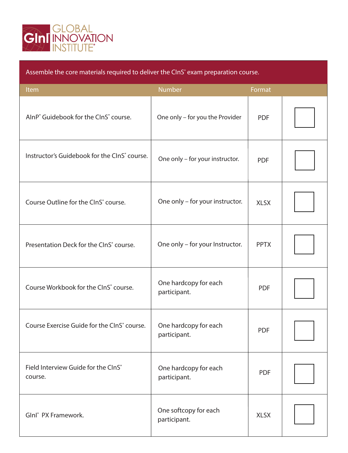

| Assemble the core materials required to deliver the CInS <sup>®</sup> exam preparation course. |                                       |             |  |  |  |
|------------------------------------------------------------------------------------------------|---------------------------------------|-------------|--|--|--|
| Item                                                                                           | Number                                | Format      |  |  |  |
| AlnP <sup>®</sup> Guidebook for the ClnS <sup>®</sup> course.                                  | One only - for you the Provider       | <b>PDF</b>  |  |  |  |
| Instructor's Guidebook for the CInS <sup>®</sup> course.                                       | One only - for your instructor.       | <b>PDF</b>  |  |  |  |
| Course Outline for the ClnS <sup>®</sup> course.                                               | One only - for your instructor.       | <b>XLSX</b> |  |  |  |
| Presentation Deck for the ClnS° course.                                                        | One only - for your Instructor.       | <b>PPTX</b> |  |  |  |
| Course Workbook for the CInS° course.                                                          | One hardcopy for each<br>participant. | <b>PDF</b>  |  |  |  |
| Course Exercise Guide for the CInS <sup>®</sup> course.                                        | One hardcopy for each<br>participant. | <b>PDF</b>  |  |  |  |
| Field Interview Guide for the CInS®<br>course.                                                 | One hardcopy for each<br>participant. | <b>PDF</b>  |  |  |  |
| Glnl <sup>®</sup> PX Framework.                                                                | One softcopy for each<br>participant. | <b>XLSX</b> |  |  |  |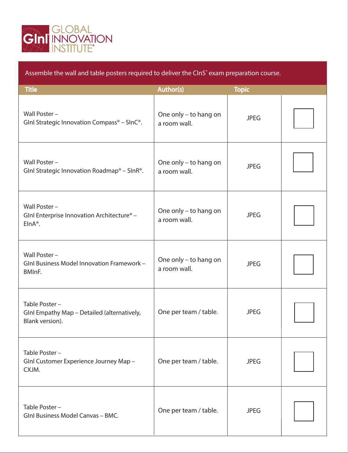

Assemble the wall and table posters required to deliver the CInS<sup>®</sup> exam preparation course.

| <b>Title</b>                                                                          | <b>Author(s)</b>                      | <b>Topic</b> |  |
|---------------------------------------------------------------------------------------|---------------------------------------|--------------|--|
| Wall Poster -<br>GInl Strategic Innovation Compass <sup>®</sup> - SInC <sup>®</sup> . | One only - to hang on<br>a room wall. | <b>JPEG</b>  |  |
| Wall Poster -<br>Glnl Strategic Innovation Roadmap® - SlnR®.                          | One only - to hang on<br>a room wall. | <b>JPEG</b>  |  |
| Wall Poster -<br>GInl Enterprise Innovation Architecture <sup>®</sup> -<br>$EInA®$ .  | One only - to hang on<br>a room wall. | <b>JPEG</b>  |  |
| Wall Poster -<br>GInl Business Model Innovation Framework -<br>BMInF.                 | One only - to hang on<br>a room wall. | <b>JPEG</b>  |  |
| Table Poster -<br>GInI Empathy Map - Detailed (alternatively,<br>Blank version).      | One per team / table.                 | <b>JPEG</b>  |  |
| Table Poster -<br>GInl Customer Experience Journey Map -<br>CXJM.                     | One per team / table.                 | <b>JPEG</b>  |  |
| Table Poster -<br><b>GInl Business Model Canvas - BMC.</b>                            | One per team / table.                 | <b>JPEG</b>  |  |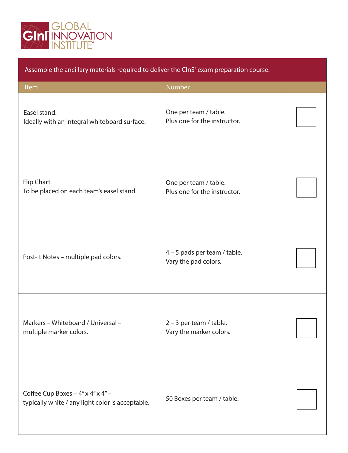

# Item Number and The Company of the Company of the Number Assemble the ancillary materials required to deliver the CInS<sup>®</sup> exam preparation course. Easel stand. Ideally with an integral whiteboard surface. One per team / table. Plus one for the instructor. Flip Chart. To be placed on each team's easel stand. One per team / table. Plus one for the instructor. Post-It Notes – multiple pad colors.  $\begin{vmatrix} 4 & -5 \ 1 & -1 \end{vmatrix}$  and sper team / table. Vary the pad colors. Markers – Whiteboard / Universal – multiple marker colors. 2 – 3 per team / table. Vary the marker colors. Coffee Cup Boxes  $-4$ " x  $4$ " x  $4$ "  $$ typically white / any light color is acceptable. 50 Boxes per team / table.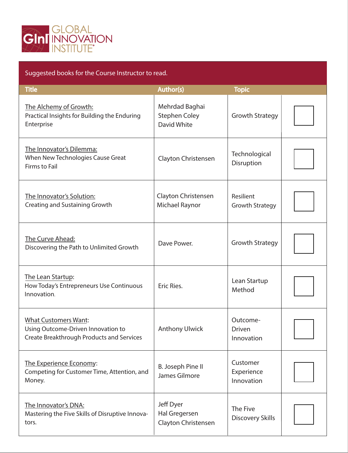

#### Suggested books for the Course Instructor to read. Title **The Author(s)** The Author(s) The Author(s) Topic Topic The Alchemy of Growth: Practical Insights for Building the Enduring Enterprise The Innovator's Dilemma: When New Technologies Cause Great Firms to Fail The Innovator's Solution: Creating and Sustaining Growth The Curve Ahead: Discovering the Path to Unlimited Growth Mehrdad Baghai Stephen Coley David White Growth Strategy **Technological** Disruption Growth Strategy Lean Startup Method Outcome-Driven Innovation Customer Experience Innovation Resilient Growth Strategy Clayton Christensen Dave Power. Clayton Christensen Michael Raynor The Lean Startup: How Today's Entrepreneurs Use Continuous Innovation. What Customers Want: Using Outcome-Driven Innovation to Create Breakthrough Products and Services The Experience Economy: Competing for Customer Time, Attention, and Money. Eric Ries. Anthony Ulwick B. Joseph Pine II James Gilmore The Five Discovery Skills The Innovator's DNA: Mastering the Five Skills of Disruptive Innovators. Jeff Dyer Hal Gregersen Clayton Christensen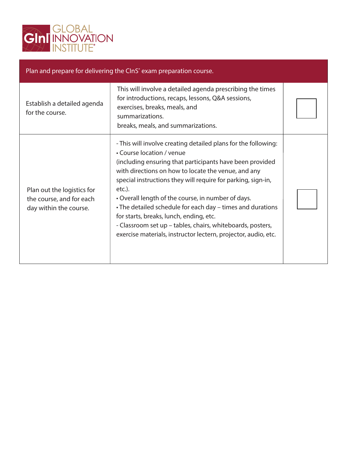

| Plan and prepare for delivering the CInS <sup>®</sup> exam preparation course.   |                                                                                                                                                                                                                                                                                                                                                                                                                                                                                                                                                                                         |  |  |  |
|----------------------------------------------------------------------------------|-----------------------------------------------------------------------------------------------------------------------------------------------------------------------------------------------------------------------------------------------------------------------------------------------------------------------------------------------------------------------------------------------------------------------------------------------------------------------------------------------------------------------------------------------------------------------------------------|--|--|--|
| Establish a detailed agenda<br>for the course.                                   | This will involve a detailed agenda prescribing the times<br>for introductions, recaps, lessons, Q&A sessions,<br>exercises, breaks, meals, and<br>summarizations.<br>breaks, meals, and summarizations.                                                                                                                                                                                                                                                                                                                                                                                |  |  |  |
| Plan out the logistics for<br>the course, and for each<br>day within the course. | - This will involve creating detailed plans for the following:<br>• Course location / venue<br>(including ensuring that participants have been provided<br>with directions on how to locate the venue, and any<br>special instructions they will require for parking, sign-in,<br>etc.).<br>• Overall length of the course, in number of days.<br>• The detailed schedule for each day - times and durations<br>for starts, breaks, lunch, ending, etc.<br>- Classroom set up – tables, chairs, whiteboards, posters,<br>exercise materials, instructor lectern, projector, audio, etc. |  |  |  |